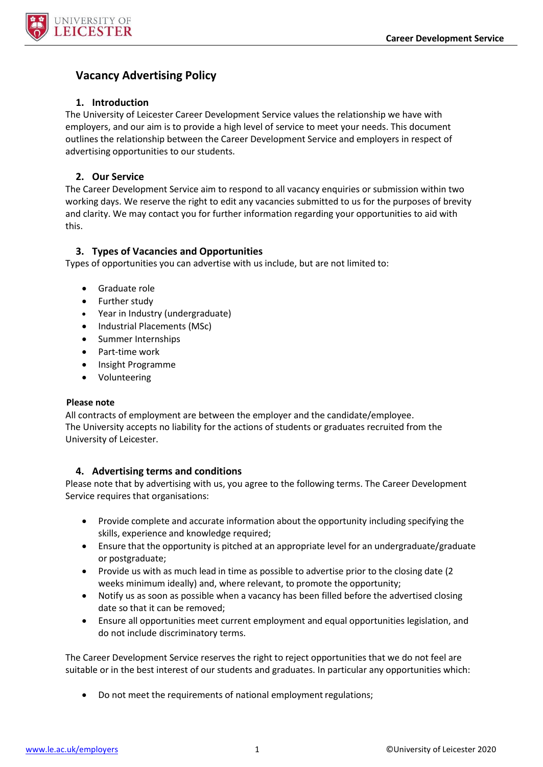

# **Vacancy Advertising Policy**

## **1. Introduction**

The University of Leicester Career Development Service values the relationship we have with employers, and our aim is to provide a high level of service to meet your needs. This document outlines the relationship between the Career Development Service and employers in respect of advertising opportunities to our students.

## **2. Our Service**

The Career Development Service aim to respond to all vacancy enquiries or submission within two working days. We reserve the right to edit any vacancies submitted to us for the purposes of brevity and clarity. We may contact you for further information regarding your opportunities to aid with this.

# **3. Types of Vacancies and Opportunities**

Types of opportunities you can advertise with us include, but are not limited to:

- Graduate role
- Further study
- Year in Industry (undergraduate)
- Industrial Placements (MSc)
- Summer Internships
- Part-time work
- Insight Programme
- Volunteering

#### **Please note**

All contracts of employment are between the employer and the candidate/employee. The University accepts no liability for the actions of students or graduates recruited from the University of Leicester.

## **4. Advertising terms and conditions**

Please note that by advertising with us, you agree to the following terms. The Career Development Service requires that organisations:

- Provide complete and accurate information about the opportunity including specifying the skills, experience and knowledge required;
- Ensure that the opportunity is pitched at an appropriate level for an undergraduate/graduate or postgraduate;
- Provide us with as much lead in time as possible to advertise prior to the closing date (2 weeks minimum ideally) and, where relevant, to promote the opportunity;
- Notify us as soon as possible when a vacancy has been filled before the advertised closing date so that it can be removed;
- Ensure all opportunities meet current employment and equal opportunities legislation, and do not include discriminatory terms.

The Career Development Service reserves the right to reject opportunities that we do not feel are suitable or in the best interest of our students and graduates. In particular any opportunities which:

Do not meet the requirements of national employment regulations;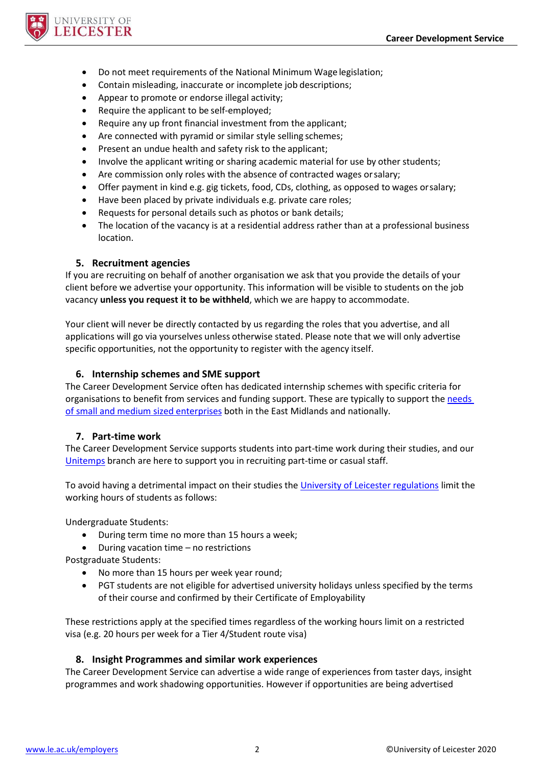

- Do not meet requirements of the National Minimum Wage legislation;
- Contain misleading, inaccurate or incomplete job descriptions;
- Appear to promote or endorse illegal activity;
- Require the applicant to be self-employed;
- Require any up front financial investment from the applicant;
- Are connected with pyramid or similar style selling schemes;
- Present an undue health and safety risk to the applicant;
- Involve the applicant writing or sharing academic material for use by other students;
- Are commission only roles with the absence of contracted wages orsalary;
- Offer payment in kind e.g. gig tickets, food, CDs, clothing, as opposed to wages orsalary;
- Have been placed by private individuals e.g. private care roles;
- Requests for personal details such as photos or bank details;
- The location of the vacancy is at a residential address rather than at a professional business location.

#### **5. Recruitment agencies**

If you are recruiting on behalf of another organisation we ask that you provide the details of your client before we advertise your opportunity. This information will be visible to students on the job vacancy **unless you request it to be withheld**, which we are happy to accommodate.

Your client will never be directly contacted by us regarding the roles that you advertise, and all applications will go via yourselves unless otherwise stated. Please note that we will only advertise specific opportunities, not the opportunity to register with the agency itself.

#### **6. Internship schemes and SME support**

The Career Development Service often has dedicated internship schemes with specific criteria for organisations to benefit from services and funding support. These are typically to support th[e needs](https://le.ac.uk/enterprise/development/recruit-our-students/sme-support-and-funding)  [of small and medium sized enterprises](https://le.ac.uk/enterprise/development/recruit-our-students/sme-support-and-funding) both in the East Midlands and nationally.

#### **7. Part-time work**

The Career Development Service supports students into part-time work during their studies, and our [Unitemps](http://www.unitemps.co.uk/) branch are here to support you in recruiting part-time or casual staff.

To avoid having a detrimental impact on their studies the [University of Leicester regulations](https://www2.le.ac.uk/offices/sas2/regulations/responsibilities#:~:text=Full%20time%20students,home%20or%20an%20international%20student.) limit the working hours of students as follows:

Undergraduate Students:

- During term time no more than 15 hours a week;
- During vacation time no restrictions

Postgraduate Students:

- No more than 15 hours per week year round;
- PGT students are not eligible for advertised university holidays unless specified by the terms of their course and confirmed by their Certificate of Employability

These restrictions apply at the specified times regardless of the working hours limit on a restricted visa (e.g. 20 hours per week for a Tier 4/Student route visa)

## **8. Insight Programmes and similar work experiences**

The Career Development Service can advertise a wide range of experiences from taster days, insight programmes and work shadowing opportunities. However if opportunities are being advertised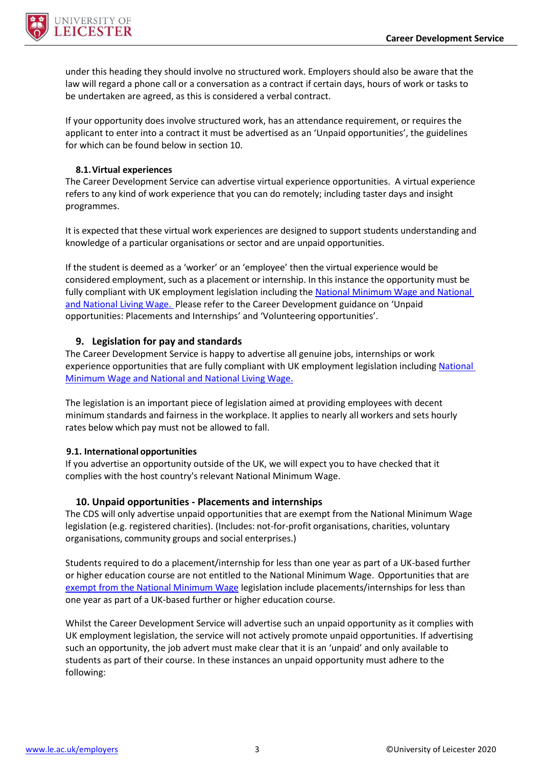

under this heading they should involve no structured work. Employers should also be aware that the law will regard a phone call or a conversation as a contract if certain days, hours of work or tasks to be undertaken are agreed, as this is considered a verbal contract.

If your opportunity does involve structured work, has an attendance requirement, or requires the applicant to enter into a contract it must be advertised as an 'Unpaid opportunities', the guidelines for which can be found below in section 10.

## **8.1.Virtual experiences**

The Career Development Service can advertise virtual experience opportunities. A virtual experience refers to any kind of work experience that you can do remotely; including taster days and insight programmes.

It is expected that these virtual work experiences are designed to support students understanding and knowledge of a particular organisations or sector and are unpaid opportunities.

If the student is deemed as a 'worker' or an 'employee' then the virtual experience would be considered employment, such as a placement or internship. In this instance the opportunity must be fully compliant with UK employment legislation including th[e National](https://www.gov.uk/national-minimum-wage-rates) Minimum Wage and National and National Living Wage. Please refer to the Career Development guidance on 'Unpaid opportunities: Placements and Internships' and 'Volunteering opportunities'.

## **9. Legislation for pay and standards**

The Career Development Service is happy to advertise all genuine jobs, internships or work experience opportunities that are fully compliant with UK employment legislation including [National](https://www.gov.uk/national-minimum-wage-rates) Minimum Wage and National and National Living Wage.

The legislation is an important piece of legislation aimed at providing employees with decent minimum standards and fairness in the workplace. It applies to nearly all workers and sets hourly rates below which pay must not be allowed to fall.

#### **9.1. International opportunities**

If you advertise an opportunity outside of the UK, we will expect you to have checked that it complies with the host country's relevant National Minimum Wage.

## **10. Unpaid opportunities - Placements and internships**

The CDS will only advertise unpaid opportunities that are exempt from the National Minimum Wage legislation (e.g. registered charities). (Includes: not-for-profit organisations, charities, voluntary organisations, community groups and social enterprises.)

Students required to do a placement/internship for less than one year as part of a UK-based further or higher education course are not entitled to the [National Minimum Wage.](https://www.gov.uk/national-minimum-wage/who-gets-the-minimum-wage) Opportunities that are [exempt from the National Minimum Wage](https://www.gov.uk/employment-rights-for-interns) legislation include placements/internships for less than one year as part of a UK-based further or higher education course.

Whilst the Career Development Service will advertise such an unpaid opportunity as it complies with UK employment legislation, the service will not actively promote unpaid opportunities. If advertising such an opportunity, the job advert must make clear that it is an 'unpaid' and only available to students as part of their course. In these instances an unpaid opportunity must adhere to the following: